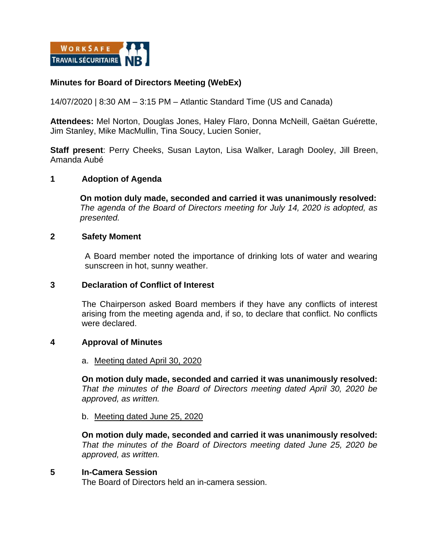

# **Minutes for Board of Directors Meeting (WebEx)**

14/07/2020 | 8:30 AM – 3:15 PM – Atlantic Standard Time (US and Canada)

**Attendees:** Mel Norton, Douglas Jones, Haley Flaro, Donna McNeill, Gaëtan Guérette, Jim Stanley, Mike MacMullin, Tina Soucy, Lucien Sonier,

**Staff present**: Perry Cheeks, Susan Layton, Lisa Walker, Laragh Dooley, Jill Breen, Amanda Aubé

# **1 Adoption of Agenda**

**On motion duly made, seconded and carried it was unanimously resolved:**  *The agenda of the Board of Directors meeting for July 14, 2020 is adopted, as presented.*

## **2 Safety Moment**

A Board member noted the importance of drinking lots of water and wearing sunscreen in hot, sunny weather.

## **3 Declaration of Conflict of Interest**

The Chairperson asked Board members if they have any conflicts of interest arising from the meeting agenda and, if so, to declare that conflict. No conflicts were declared.

## **4 Approval of Minutes**

#### a. Meeting dated April 30, 2020

**On motion duly made, seconded and carried it was unanimously resolved:**  *That the minutes of the Board of Directors meeting dated April 30, 2020 be approved, as written.* 

#### b. Meeting dated June 25, 2020

**On motion duly made, seconded and carried it was unanimously resolved:**  *That the minutes of the Board of Directors meeting dated June 25, 2020 be approved, as written.* 

## **5 In-Camera Session**

The Board of Directors held an in-camera session.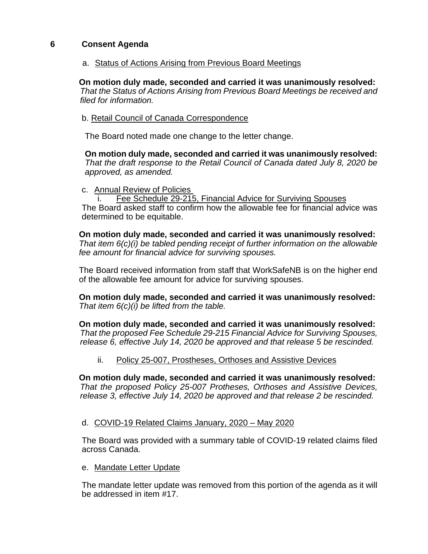# **6 Consent Agenda**

a. Status of Actions Arising from Previous Board Meetings

**On motion duly made, seconded and carried it was unanimously resolved:** *That the Status of Actions Arising from Previous Board Meetings be received and filed for information.*

b. Retail Council of Canada Correspondence

The Board noted made one change to the letter change.

**On motion duly made, seconded and carried it was unanimously resolved:** *That the draft response to the Retail Council of Canada dated July 8, 2020 be approved, as amended.*

c. Annual Review of Policies

Fee Schedule 29-215, Financial Advice for Surviving Spouses The Board asked staff to confirm how the allowable fee for financial advice was determined to be equitable.

**On motion duly made, seconded and carried it was unanimously resolved:** *That item 6(c)(i) be tabled pending receipt of further information on the allowable fee amount for financial advice for surviving spouses.* 

The Board received information from staff that WorkSafeNB is on the higher end of the allowable fee amount for advice for surviving spouses.

**On motion duly made, seconded and carried it was unanimously resolved:** *That item 6(c)(i) be lifted from the table.*

**On motion duly made, seconded and carried it was unanimously resolved:** *That the proposed Fee Schedule 29-215 Financial Advice for Surviving Spouses, release 6, effective July 14, 2020 be approved and that release 5 be rescinded.*

ii. Policy 25-007, Prostheses, Orthoses and Assistive Devices

**On motion duly made, seconded and carried it was unanimously resolved:** *That the proposed Policy 25-007 Protheses, Orthoses and Assistive Devices, release 3, effective July 14, 2020 be approved and that release 2 be rescinded.*

d. COVID-19 Related Claims January, 2020 – May 2020

The Board was provided with a summary table of COVID-19 related claims filed across Canada.

e. Mandate Letter Update

The mandate letter update was removed from this portion of the agenda as it will be addressed in item #17.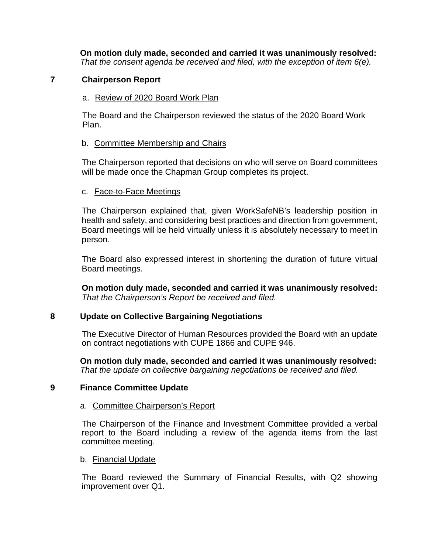**On motion duly made, seconded and carried it was unanimously resolved:** *That the consent agenda be received and filed, with the exception of item 6(e).*

# **7 Chairperson Report**

# a. Review of 2020 Board Work Plan

The Board and the Chairperson reviewed the status of the 2020 Board Work Plan.

# b. Committee Membership and Chairs

The Chairperson reported that decisions on who will serve on Board committees will be made once the Chapman Group completes its project.

# c. Face-to-Face Meetings

The Chairperson explained that, given WorkSafeNB's leadership position in health and safety, and considering best practices and direction from government, Board meetings will be held virtually unless it is absolutely necessary to meet in person.

The Board also expressed interest in shortening the duration of future virtual Board meetings.

**On motion duly made, seconded and carried it was unanimously resolved:** *That the Chairperson's Report be received and filed.*

# **8 Update on Collective Bargaining Negotiations**

The Executive Director of Human Resources provided the Board with an update on contract negotiations with CUPE 1866 and CUPE 946.

**On motion duly made, seconded and carried it was unanimously resolved:** *That the update on collective bargaining negotiations be received and filed.*

# **9 Finance Committee Update**

# a. Committee Chairperson's Report

The Chairperson of the Finance and Investment Committee provided a verbal report to the Board including a review of the agenda items from the last committee meeting.

# b. Financial Update

The Board reviewed the Summary of Financial Results, with Q2 showing improvement over Q1.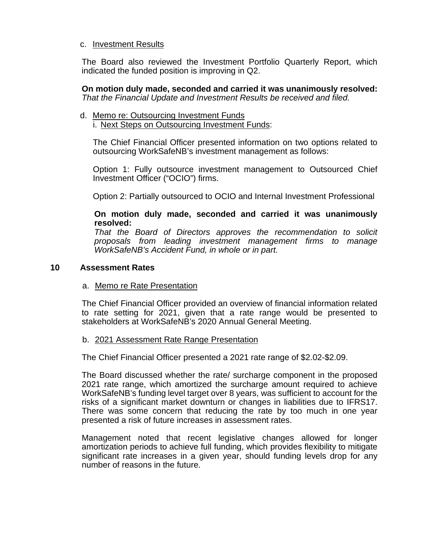## c. Investment Results

The Board also reviewed the Investment Portfolio Quarterly Report, which indicated the funded position is improving in Q2.

**On motion duly made, seconded and carried it was unanimously resolved:** *That the Financial Update and Investment Results be received and filed.*

d. Memo re: Outsourcing Investment Funds i. Next Steps on Outsourcing Investment Funds:

The Chief Financial Officer presented information on two options related to outsourcing WorkSafeNB's investment management as follows:

Option 1: Fully outsource investment management to Outsourced Chief Investment Officer ("OCIO") firms.

Option 2: Partially outsourced to OCIO and Internal Investment Professional

## **On motion duly made, seconded and carried it was unanimously resolved:**

*That the Board of Directors approves the recommendation to solicit proposals from leading investment management firms to manage WorkSafeNB's Accident Fund, in whole or in part.*

# **10 Assessment Rates**

a. Memo re Rate Presentation

The Chief Financial Officer provided an overview of financial information related to rate setting for 2021, given that a rate range would be presented to stakeholders at WorkSafeNB's 2020 Annual General Meeting.

## b. 2021 Assessment Rate Range Presentation

The Chief Financial Officer presented a 2021 rate range of \$2.02-\$2.09.

The Board discussed whether the rate/ surcharge component in the proposed 2021 rate range, which amortized the surcharge amount required to achieve WorkSafeNB's funding level target over 8 years, was sufficient to account for the risks of a significant market downturn or changes in liabilities due to IFRS17. There was some concern that reducing the rate by too much in one year presented a risk of future increases in assessment rates.

Management noted that recent legislative changes allowed for longer amortization periods to achieve full funding, which provides flexibility to mitigate significant rate increases in a given year, should funding levels drop for any number of reasons in the future.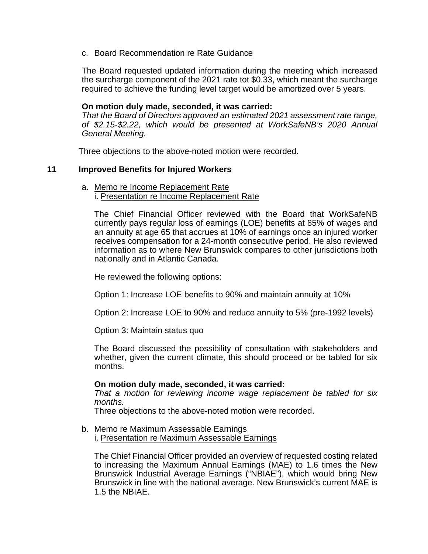## c. Board Recommendation re Rate Guidance

The Board requested updated information during the meeting which increased the surcharge component of the 2021 rate tot \$0.33, which meant the surcharge required to achieve the funding level target would be amortized over 5 years.

#### **On motion duly made, seconded, it was carried:**

*That the Board of Directors approved an estimated 2021 assessment rate range, of \$2.15-\$2.22, which would be presented at WorkSafeNB's 2020 Annual General Meeting.*

Three objections to the above-noted motion were recorded.

## **11 Improved Benefits for Injured Workers**

#### a. Memo re Income Replacement Rate i. Presentation re Income Replacement Rate

The Chief Financial Officer reviewed with the Board that WorkSafeNB currently pays regular loss of earnings (LOE) benefits at 85% of wages and an annuity at age 65 that accrues at 10% of earnings once an injured worker receives compensation for a 24-month consecutive period. He also reviewed information as to where New Brunswick compares to other jurisdictions both nationally and in Atlantic Canada.

He reviewed the following options:

Option 1: Increase LOE benefits to 90% and maintain annuity at 10%

Option 2: Increase LOE to 90% and reduce annuity to 5% (pre-1992 levels)

Option 3: Maintain status quo

The Board discussed the possibility of consultation with stakeholders and whether, given the current climate, this should proceed or be tabled for six months.

#### **On motion duly made, seconded, it was carried:**

*That a motion for reviewing income wage replacement be tabled for six months.*

Three objections to the above-noted motion were recorded.

b. Memo re Maximum Assessable Earnings i. Presentation re Maximum Assessable Earnings

The Chief Financial Officer provided an overview of requested costing related to increasing the Maximum Annual Earnings (MAE) to 1.6 times the New Brunswick Industrial Average Earnings ("NBIAE"), which would bring New Brunswick in line with the national average. New Brunswick's current MAE is 1.5 the NBIAE.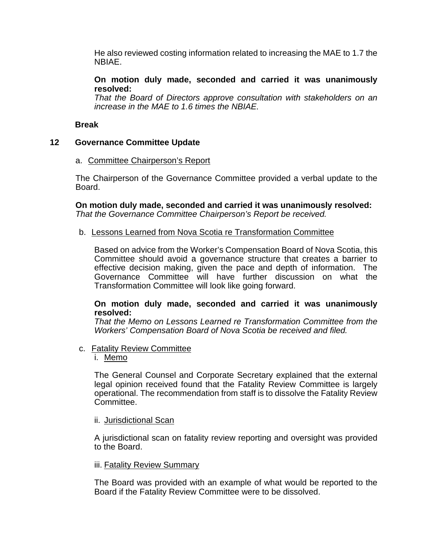He also reviewed costing information related to increasing the MAE to 1.7 the NBIAE.

## **On motion duly made, seconded and carried it was unanimously resolved:**

*That the Board of Directors approve consultation with stakeholders on an increase in the MAE to 1.6 times the NBIAE.*

## **Break**

# **12 Governance Committee Update**

## a. Committee Chairperson's Report

The Chairperson of the Governance Committee provided a verbal update to the Board.

**On motion duly made, seconded and carried it was unanimously resolved:** *That the Governance Committee Chairperson's Report be received.*

## b. Lessons Learned from Nova Scotia re Transformation Committee

Based on advice from the Worker's Compensation Board of Nova Scotia, this Committee should avoid a governance structure that creates a barrier to effective decision making, given the pace and depth of information. The Governance Committee will have further discussion on what the Transformation Committee will look like going forward.

## **On motion duly made, seconded and carried it was unanimously resolved:**

*That the Memo on Lessons Learned re Transformation Committee from the Workers' Compensation Board of Nova Scotia be received and filed.*

c. Fatality Review Committee

# i. Memo

The General Counsel and Corporate Secretary explained that the external legal opinion received found that the Fatality Review Committee is largely operational. The recommendation from staff is to dissolve the Fatality Review Committee.

## ii. Jurisdictional Scan

A jurisdictional scan on fatality review reporting and oversight was provided to the Board.

## iii. Fatality Review Summary

The Board was provided with an example of what would be reported to the Board if the Fatality Review Committee were to be dissolved.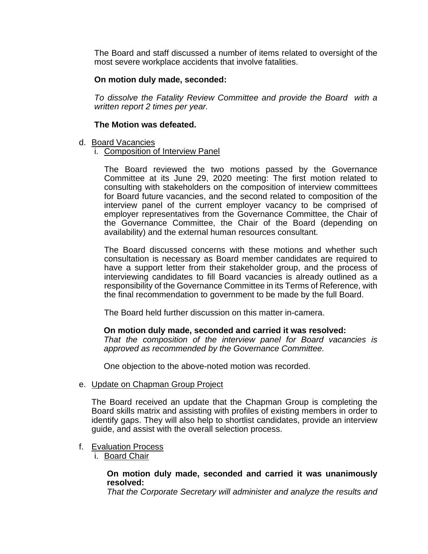The Board and staff discussed a number of items related to oversight of the most severe workplace accidents that involve fatalities.

# **On motion duly made, seconded:**

*To dissolve the Fatality Review Committee and provide the Board with a written report 2 times per year.* 

## **The Motion was defeated.**

- d. Board Vacancies
	- i. Composition of Interview Panel

The Board reviewed the two motions passed by the Governance Committee at its June 29, 2020 meeting: The first motion related to consulting with stakeholders on the composition of interview committees for Board future vacancies, and the second related to composition of the interview panel of the current employer vacancy to be comprised of employer representatives from the Governance Committee, the Chair of the Governance Committee, the Chair of the Board (depending on availability) and the external human resources consultant.

The Board discussed concerns with these motions and whether such consultation is necessary as Board member candidates are required to have a support letter from their stakeholder group, and the process of interviewing candidates to fill Board vacancies is already outlined as a responsibility of the Governance Committee in its Terms of Reference, with the final recommendation to government to be made by the full Board.

The Board held further discussion on this matter in-camera.

## **On motion duly made, seconded and carried it was resolved:**

*That the composition of the interview panel for Board vacancies is approved as recommended by the Governance Committee.*

One objection to the above-noted motion was recorded.

e. Update on Chapman Group Project

The Board received an update that the Chapman Group is completing the Board skills matrix and assisting with profiles of existing members in order to identify gaps. They will also help to shortlist candidates, provide an interview guide, and assist with the overall selection process.

- f. Evaluation Process
	- i. Board Chair

#### **On motion duly made, seconded and carried it was unanimously resolved:**

*That the Corporate Secretary will administer and analyze the results and*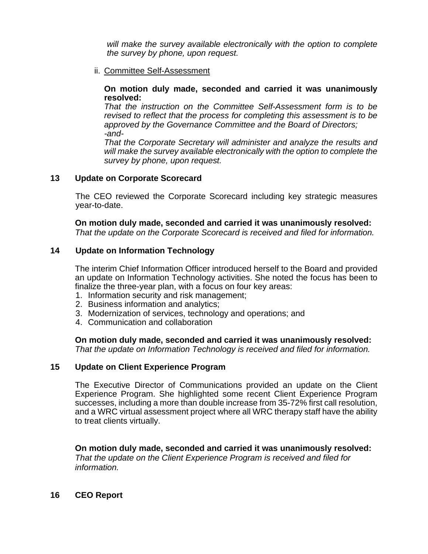*will make the survey available electronically with the option to complete the survey by phone, upon request.*

ii. Committee Self-Assessment

#### **On motion duly made, seconded and carried it was unanimously resolved:**

*That the instruction on the Committee Self-Assessment form is to be revised to reflect that the process for completing this assessment is to be approved by the Governance Committee and the Board of Directors; -and-*

*That the Corporate Secretary will administer and analyze the results and will make the survey available electronically with the option to complete the survey by phone, upon request.*

# **13 Update on Corporate Scorecard**

The CEO reviewed the Corporate Scorecard including key strategic measures year-to-date.

**On motion duly made, seconded and carried it was unanimously resolved:** *That the update on the Corporate Scorecard is received and filed for information.*

# **14 Update on Information Technology**

The interim Chief Information Officer introduced herself to the Board and provided an update on Information Technology activities. She noted the focus has been to finalize the three-year plan, with a focus on four key areas:

- 1. Information security and risk management;
- 2. Business information and analytics;
- 3. Modernization of services, technology and operations; and
- 4. Communication and collaboration

**On motion duly made, seconded and carried it was unanimously resolved:** *That the update on Information Technology is received and filed for information.*

# **15 Update on Client Experience Program**

The Executive Director of Communications provided an update on the Client Experience Program. She highlighted some recent Client Experience Program successes, including a more than double increase from 35-72% first call resolution, and a WRC virtual assessment project where all WRC therapy staff have the ability to treat clients virtually.

**On motion duly made, seconded and carried it was unanimously resolved:** *That the update on the Client Experience Program is received and filed for information.*

# **16 CEO Report**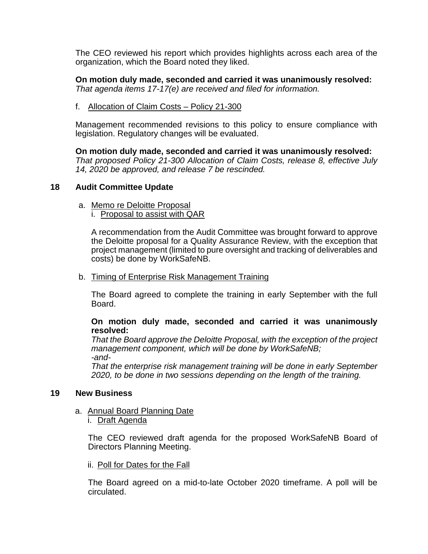The CEO reviewed his report which provides highlights across each area of the organization, which the Board noted they liked.

**On motion duly made, seconded and carried it was unanimously resolved:** *That agenda items 17-17(e) are received and filed for information.*

f. Allocation of Claim Costs – Policy 21-300

Management recommended revisions to this policy to ensure compliance with legislation. Regulatory changes will be evaluated.

**On motion duly made, seconded and carried it was unanimously resolved:** *That proposed Policy 21-300 Allocation of Claim Costs, release 8, effective July 14, 2020 be approved, and release 7 be rescinded.*

## **18 Audit Committee Update**

- a. Memo re Deloitte Proposal
	- i. Proposal to assist with QAR

A recommendation from the Audit Committee was brought forward to approve the Deloitte proposal for a Quality Assurance Review, with the exception that project management (limited to pure oversight and tracking of deliverables and costs) be done by WorkSafeNB.

b. Timing of Enterprise Risk Management Training

The Board agreed to complete the training in early September with the full Board.

**On motion duly made, seconded and carried it was unanimously resolved:**

*That the Board approve the Deloitte Proposal, with the exception of the project management component, which will be done by WorkSafeNB; -and-*

*That the enterprise risk management training will be done in early September 2020, to be done in two sessions depending on the length of the training.*

## **19 New Business**

- a. Annual Board Planning Date
	- i. Draft Agenda

The CEO reviewed draft agenda for the proposed WorkSafeNB Board of Directors Planning Meeting.

ii. Poll for Dates for the Fall

The Board agreed on a mid-to-late October 2020 timeframe. A poll will be circulated.